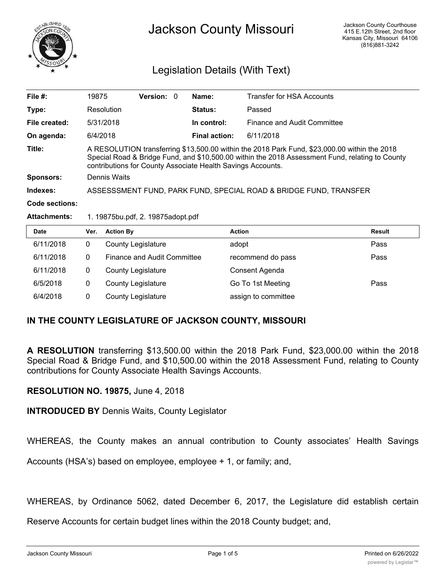

# Jackson County Missouri

# Legislation Details (With Text)

| File $#$ :          | 19875                                                                                                                                                                                                                                                          | Version: 0 |  | Name:                | <b>Transfer for HSA Accounts</b> |
|---------------------|----------------------------------------------------------------------------------------------------------------------------------------------------------------------------------------------------------------------------------------------------------------|------------|--|----------------------|----------------------------------|
| Type:               | Resolution                                                                                                                                                                                                                                                     |            |  | <b>Status:</b>       | Passed                           |
| File created:       | 5/31/2018                                                                                                                                                                                                                                                      |            |  | In control:          | Finance and Audit Committee      |
| On agenda:          | 6/4/2018                                                                                                                                                                                                                                                       |            |  | <b>Final action:</b> | 6/11/2018                        |
| Title:              | A RESOLUTION transferring \$13,500.00 within the 2018 Park Fund, \$23,000.00 within the 2018<br>Special Road & Bridge Fund, and \$10,500.00 within the 2018 Assessment Fund, relating to County<br>contributions for County Associate Health Savings Accounts. |            |  |                      |                                  |
| <b>Sponsors:</b>    | Dennis Waits                                                                                                                                                                                                                                                   |            |  |                      |                                  |
| Indexes:            | ASSESSSMENT FUND, PARK FUND, SPECIAL ROAD & BRIDGE FUND, TRANSFER                                                                                                                                                                                              |            |  |                      |                                  |
| Code sections:      |                                                                                                                                                                                                                                                                |            |  |                      |                                  |
| <b>Attachments:</b> | 1. 19875bu.pdf, 2. 19875adopt.pdf                                                                                                                                                                                                                              |            |  |                      |                                  |

| <b>Date</b> | Ver. | <b>Action By</b>                   | <b>Action</b>       | <b>Result</b> |
|-------------|------|------------------------------------|---------------------|---------------|
| 6/11/2018   | 0    | <b>County Legislature</b>          | adopt               | Pass          |
| 6/11/2018   | 0    | <b>Finance and Audit Committee</b> | recommend do pass   | Pass          |
| 6/11/2018   |      | <b>County Legislature</b>          | Consent Agenda      |               |
| 6/5/2018    |      | <b>County Legislature</b>          | Go To 1st Meeting   | Pass          |
| 6/4/2018    |      | <b>County Legislature</b>          | assign to committee |               |

## **IN THE COUNTY LEGISLATURE OF JACKSON COUNTY, MISSOURI**

**A RESOLUTION** transferring \$13,500.00 within the 2018 Park Fund, \$23,000.00 within the 2018 Special Road & Bridge Fund, and \$10,500.00 within the 2018 Assessment Fund, relating to County contributions for County Associate Health Savings Accounts.

### **RESOLUTION NO. 19875,** June 4, 2018

**INTRODUCED BY** Dennis Waits, County Legislator

WHEREAS, the County makes an annual contribution to County associates' Health Savings

Accounts (HSA's) based on employee, employee + 1, or family; and,

WHEREAS, by Ordinance 5062, dated December 6, 2017, the Legislature did establish certain

Reserve Accounts for certain budget lines within the 2018 County budget; and,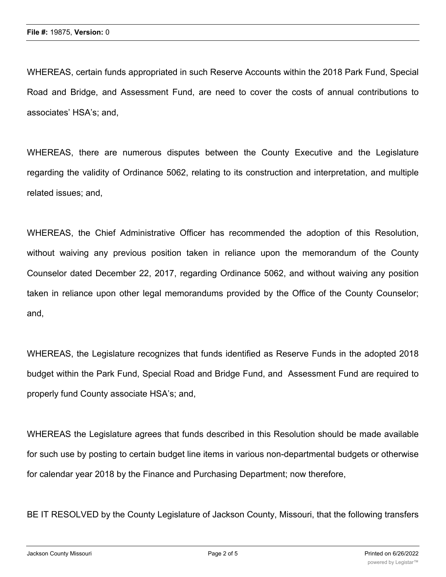WHEREAS, certain funds appropriated in such Reserve Accounts within the 2018 Park Fund, Special Road and Bridge, and Assessment Fund, are need to cover the costs of annual contributions to associates' HSA's; and,

WHEREAS, there are numerous disputes between the County Executive and the Legislature regarding the validity of Ordinance 5062, relating to its construction and interpretation, and multiple related issues; and,

WHEREAS, the Chief Administrative Officer has recommended the adoption of this Resolution, without waiving any previous position taken in reliance upon the memorandum of the County Counselor dated December 22, 2017, regarding Ordinance 5062, and without waiving any position taken in reliance upon other legal memorandums provided by the Office of the County Counselor; and,

WHEREAS, the Legislature recognizes that funds identified as Reserve Funds in the adopted 2018 budget within the Park Fund, Special Road and Bridge Fund, and Assessment Fund are required to properly fund County associate HSA's; and,

WHEREAS the Legislature agrees that funds described in this Resolution should be made available for such use by posting to certain budget line items in various non-departmental budgets or otherwise for calendar year 2018 by the Finance and Purchasing Department; now therefore,

BE IT RESOLVED by the County Legislature of Jackson County, Missouri, that the following transfers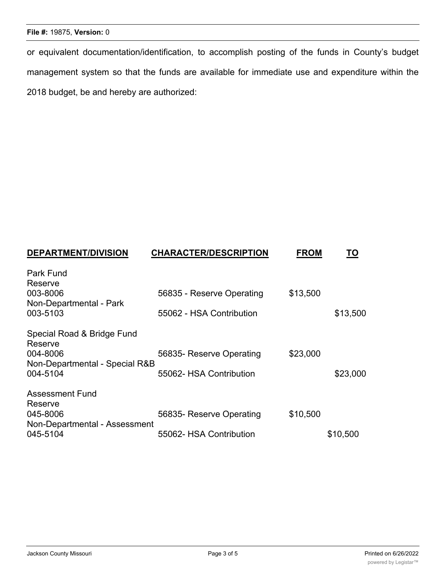#### **File #:** 19875, **Version:** 0

or equivalent documentation/identification, to accomplish posting of the funds in County's budget management system so that the funds are available for immediate use and expenditure within the 2018 budget, be and hereby are authorized:

| <b>DEPARTMENT/DIVISION</b>                           | <b>CHARACTER/DESCRIPTION</b> | <b>FROM</b> | TO       |
|------------------------------------------------------|------------------------------|-------------|----------|
| <b>Park Fund</b><br>Reserve                          |                              |             |          |
| 003-8006                                             | 56835 - Reserve Operating    | \$13,500    |          |
| Non-Departmental - Park<br>003-5103                  | 55062 - HSA Contribution     |             | \$13,500 |
| Special Road & Bridge Fund<br>Reserve                |                              |             |          |
| 004-8006<br>Non-Departmental - Special R&B           | 56835- Reserve Operating     | \$23,000    |          |
| 004-5104                                             | 55062- HSA Contribution      |             | \$23,000 |
| <b>Assessment Fund</b>                               |                              |             |          |
| Reserve<br>045-8006<br>Non-Departmental - Assessment | 56835- Reserve Operating     | \$10,500    |          |
| 045-5104                                             | 55062- HSA Contribution      |             | \$10,500 |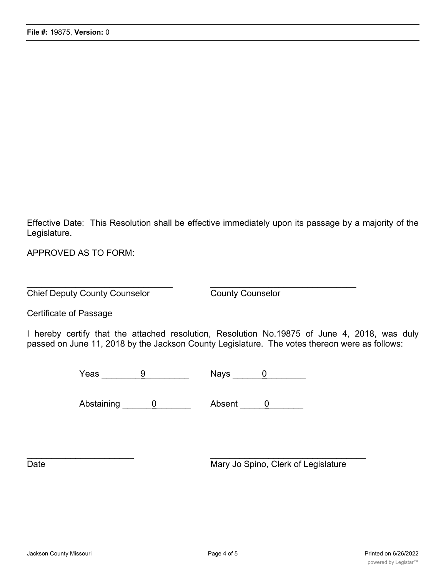Effective Date: This Resolution shall be effective immediately upon its passage by a majority of the Legislature.

APPROVED AS TO FORM:

 $\overline{\phantom{a}}$  , and the contribution of the contribution of the contribution of the contribution of the contribution of the contribution of the contribution of the contribution of the contribution of the contribution of the **Chief Deputy County Counselor** County Counselor

Certificate of Passage

I hereby certify that the attached resolution, Resolution No.19875 of June 4, 2018, was duly passed on June 11, 2018 by the Jackson County Legislature. The votes thereon were as follows:

Yeas \_\_\_\_\_\_\_\_9\_\_\_\_\_\_\_\_\_ Nays \_\_\_\_\_\_0\_\_\_\_\_\_\_\_

Abstaining 0 0 Absent 0 2

 $\overline{\phantom{a}}$  ,  $\overline{\phantom{a}}$  ,  $\overline{\phantom{a}}$  ,  $\overline{\phantom{a}}$  ,  $\overline{\phantom{a}}$  ,  $\overline{\phantom{a}}$  ,  $\overline{\phantom{a}}$  ,  $\overline{\phantom{a}}$  ,  $\overline{\phantom{a}}$  ,  $\overline{\phantom{a}}$  ,  $\overline{\phantom{a}}$  ,  $\overline{\phantom{a}}$  ,  $\overline{\phantom{a}}$  ,  $\overline{\phantom{a}}$  ,  $\overline{\phantom{a}}$  ,  $\overline{\phantom{a}}$ 

Date Mary Jo Spino, Clerk of Legislature